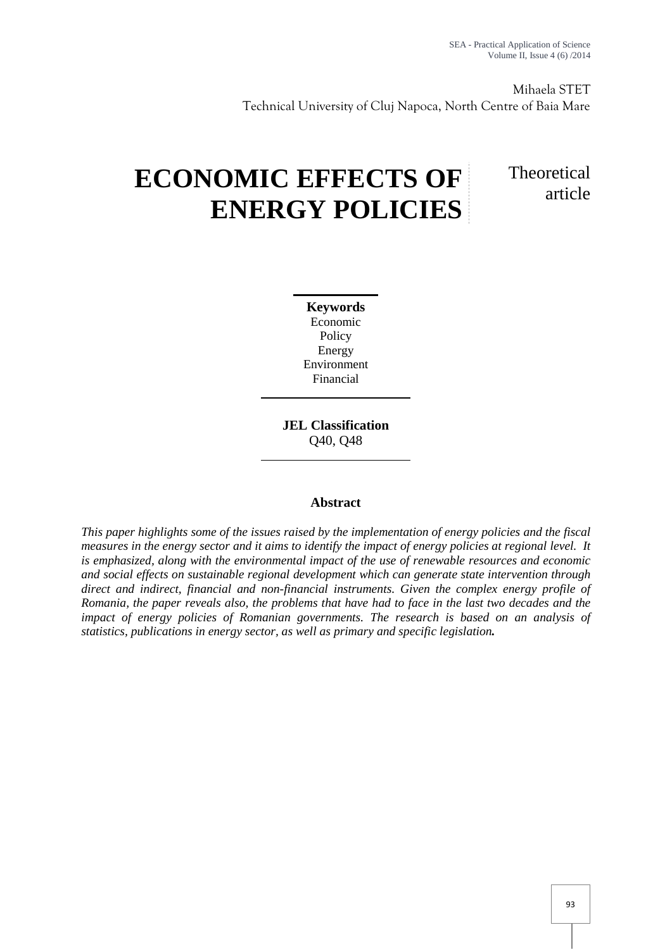Mihaela STET Technical University of Cluj Napoca, North Centre of Baia Mare

# **ECONOMIC EFFECTS OF ENERGY POLICIES**

# **Theoretical** article

**Keywords** Economic Policy Energy Environment Financial

**JEL Classification** Q40, Q48

# **Abstract**

*This paper highlights some of the issues raised by the implementation of energy policies and the fiscal measures in the energy sector and it aims to identify the impact of energy policies at regional level. It is emphasized, along with the environmental impact of the use of renewable resources and economic and social effects on sustainable regional development which can generate state intervention through direct and indirect, financial and non-financial instruments. Given the complex energy profile of Romania, the paper reveals also, the problems that have had to face in the last two decades and the impact of energy policies of Romanian governments. The research is based on an analysis of statistics, publications in energy sector, as well as primary and specific legislation.*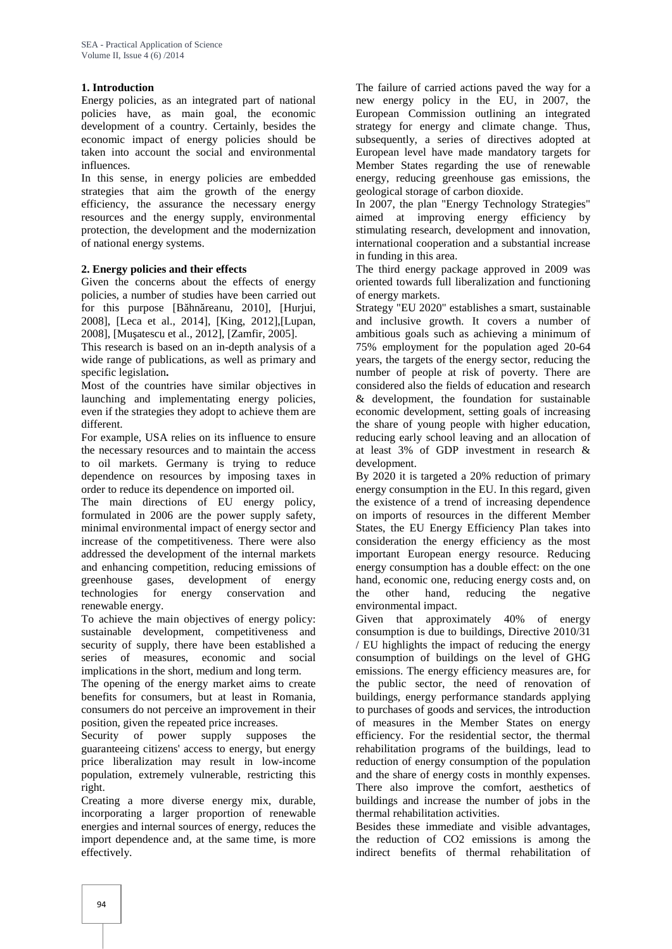## **1. Introduction**

Energy policies, as an integrated part of national policies have, as main goal, the economic development of a country. Certainly, besides the economic impact of energy policies should be taken into account the social and environmental influences.

In this sense, in energy policies are embedded strategies that aim the growth of the energy efficiency, the assurance the necessary energy resources and the energy supply, environmental protection, the development and the modernization of national energy systems.

## **2. Energy policies and their effects**

Given the concerns about the effects of energy policies, a number of studies have been carried out for this purpose [B hn reanu, 2010], [Hurjui, 2008], [Leca et al., 2014], [King, 2012],[Lupan, 2008], [Mu atescu et al., 2012], [Zamfir, 2005].

This research is based on an in-depth analysis of a wide range of publications, as well as primary and specific legislation**.**

Most of the countries have similar objectives in launching and implementating energy policies, even if the strategies they adopt to achieve them are different.

For example, USA relies on its influence to ensure the necessary resources and to maintain the access to oil markets. Germany is trying to reduce dependence on resources by imposing taxes in order to reduce its dependence on imported oil.

The main directions of EU energy policy, formulated in 2006 are the power supply safety, minimal environmental impact of energy sector and increase of the competitiveness. There were also addressed the development of the internal markets and enhancing competition, reducing emissions of greenhouse gases, development of energy technologies for energy conservation and renewable energy.

To achieve the main objectives of energy policy: sustainable development, competitiveness and security of supply, there have been established a series of measures, economic and social implications in the short, medium and long term.

The opening of the energy market aims to create benefits for consumers, but at least in Romania, consumers do not perceive an improvement in their position, given the repeated price increases.

Security of power supply supposes the guaranteeing citizens' access to energy, but energy price liberalization may result in low-income population, extremely vulnerable, restricting this right.

Creating a more diverse energy mix, durable, incorporating a larger proportion of renewable energies and internal sources of energy, reduces the import dependence and, at the same time, is more effectively.

The failure of carried actions paved the way for a new energy policy in the EU, in 2007, the European Commission outlining an integrated strategy for energy and climate change. Thus, subsequently, a series of directives adopted at European level have made mandatory targets for Member States regarding the use of renewable energy, reducing greenhouse gas emissions, the geological storage of carbon dioxide.

In 2007, the plan "Energy Technology Strategies" aimed at improving energy efficiency by stimulating research, development and innovation, international cooperation and a substantial increase in funding in this area.

The third energy package approved in 2009 was oriented towards full liberalization and functioning of energy markets.

Strategy "EU 2020" establishes a smart, sustainable and inclusive growth. It covers a number of ambitious goals such as achieving a minimum of 75% employment for the population aged 20-64 years, the targets of the energy sector, reducing the number of people at risk of poverty. There are considered also the fields of education and research & development, the foundation for sustainable economic development, setting goals of increasing the share of young people with higher education, reducing early school leaving and an allocation of at least 3% of GDP investment in research & development.

By 2020 it is targeted a 20% reduction of primary energy consumption in the EU. In this regard, given the existence of a trend of increasing dependence on imports of resources in the different Member States, the EU Energy Efficiency Plan takes into consideration the energy efficiency as the most important European energy resource. Reducing energy consumption has a double effect: on the one hand, economic one, reducing energy costs and, on other hand, reducing the negative environmental impact.

Given that approximately 40% of energy consumption is due to buildings, Directive 2010/31 / EU highlights the impact of reducing the energy consumption of buildings on the level of GHG emissions. The energy efficiency measures are, for the public sector, the need of renovation of buildings, energy performance standards applying to purchases of goods and services, the introduction of measures in the Member States on energy efficiency. For the residential sector, the thermal rehabilitation programs of the buildings, lead to reduction of energy consumption of the population and the share of energy costs in monthly expenses. There also improve the comfort, aesthetics of buildings and increase the number of jobs in the thermal rehabilitation activities.

Besides these immediate and visible advantages, the reduction of CO2 emissions is among the indirect benefits of thermal rehabilitation of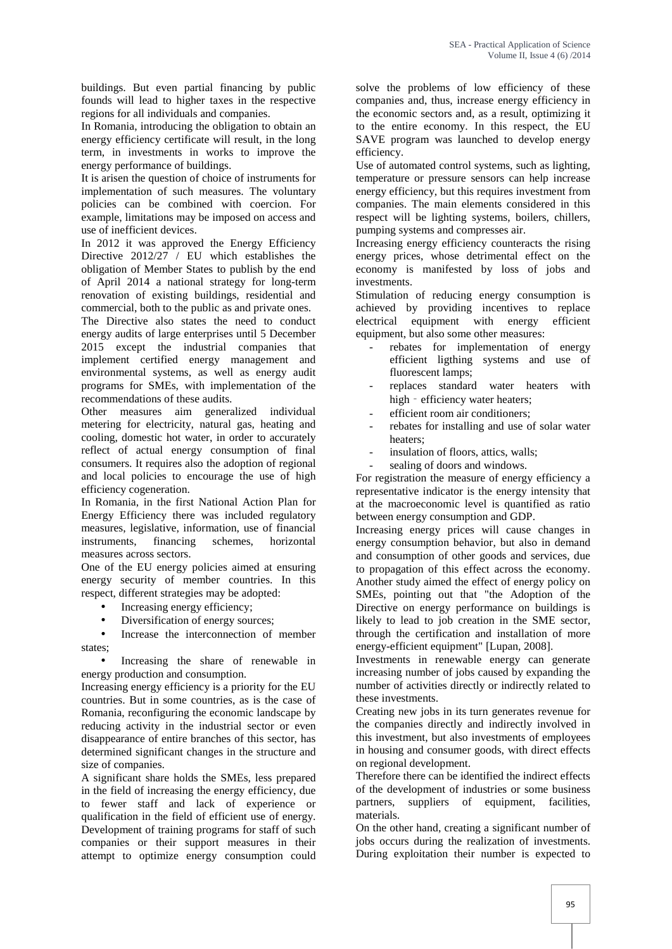buildings. But even partial financing by public founds will lead to higher taxes in the respective regions for all individuals and companies.

In Romania, introducing the obligation to obtain an energy efficiency certificate will result, in the long term, in investments in works to improve the energy performance of buildings.

It is arisen the question of choice of instruments for implementation of such measures. The voluntary policies can be combined with coercion. For example, limitations may be imposed on access and use of inefficient devices.

In 2012 it was approved the Energy Efficiency Directive 2012/27 / EU which establishes the obligation of Member States to publish by the end of April 2014 a national strategy for long-term renovation of existing buildings, residential and commercial, both to the public as and private ones.

The Directive also states the need to conduct energy audits of large enterprises until 5 December 2015 except the industrial companies that implement certified energy management and environmental systems, as well as energy audit programs for SMEs, with implementation of the recommendations of these audits.

Other measures aim generalized individual metering for electricity, natural gas, heating and cooling, domestic hot water, in order to accurately reflect of actual energy consumption of final consumers. It requires also the adoption of regional and local policies to encourage the use of high efficiency cogeneration.

In Romania, in the first National Action Plan for Energy Efficiency there was included regulatory measures, legislative, information, use of financial instruments, financing schemes, horizontal measures across sectors.

One of the EU energy policies aimed at ensuring energy security of member countries. In this respect, different strategies may be adopted:

- Increasing energy efficiency;
- Diversification of energy sources;

 Increase the interconnection of member states;

• Increasing the share of renewable in energy production and consumption.

Increasing energy efficiency is a priority for the EU countries. But in some countries, as is the case of Romania, reconfiguring the economic landscape by reducing activity in the industrial sector or even disappearance of entire branches of this sector, has determined significant changes in the structure and size of companies.

A significant share holds the SMEs, less prepared in the field of increasing the energy efficiency, due to fewer staff and lack of experience or qualification in the field of efficient use of energy. Development of training programs for staff of such companies or their support measures in their attempt to optimize energy consumption could

solve the problems of low efficiency of these companies and, thus, increase energy efficiency in the economic sectors and, as a result, optimizing it to the entire economy. In this respect, the EU SAVE program was launched to develop energy efficiency.

Use of automated control systems, such as lighting, temperature or pressure sensors can help increase energy efficiency, but this requires investment from companies. The main elements considered in this respect will be lighting systems, boilers, chillers, pumping systems and compresses air.

Increasing energy efficiency counteracts the rising energy prices, whose detrimental effect on the economy is manifested by loss of jobs and investments.

Stimulation of reducing energy consumption is achieved by providing incentives to replace electrical equipment with energy efficient equipment, but also some other measures:

- rebates for implementation of energy efficient ligthing systems and use of fluorescent lamps;
- replaces standard water heaters with high - efficiency water heaters;
- efficient room air conditioners;
- rebates for installing and use of solar water heaters;
- insulation of floors, attics, walls;
- sealing of doors and windows.

For registration the measure of energy efficiency a representative indicator is the energy intensity that at the macroeconomic level is quantified as ratio between energy consumption and GDP.

Increasing energy prices will cause changes in energy consumption behavior, but also in demand and consumption of other goods and services, due to propagation of this effect across the economy. Another study aimed the effect of energy policy on SMEs, pointing out that "the Adoption of the Directive on energy performance on buildings is likely to lead to job creation in the SME sector, through the certification and installation of more energy-efficient equipment" [Lupan, 2008].

Investments in renewable energy can generate increasing number of jobs caused by expanding the number of activities directly or indirectly related to these investments.

Creating new jobs in its turn generates revenue for the companies directly and indirectly involved in this investment, but also investments of employees in housing and consumer goods, with direct effects on regional development.

Therefore there can be identified the indirect effects of the development of industries or some business partners, suppliers of equipment, facilities, materials.

On the other hand, creating a significant number of jobs occurs during the realization of investments. During exploitation their number is expected to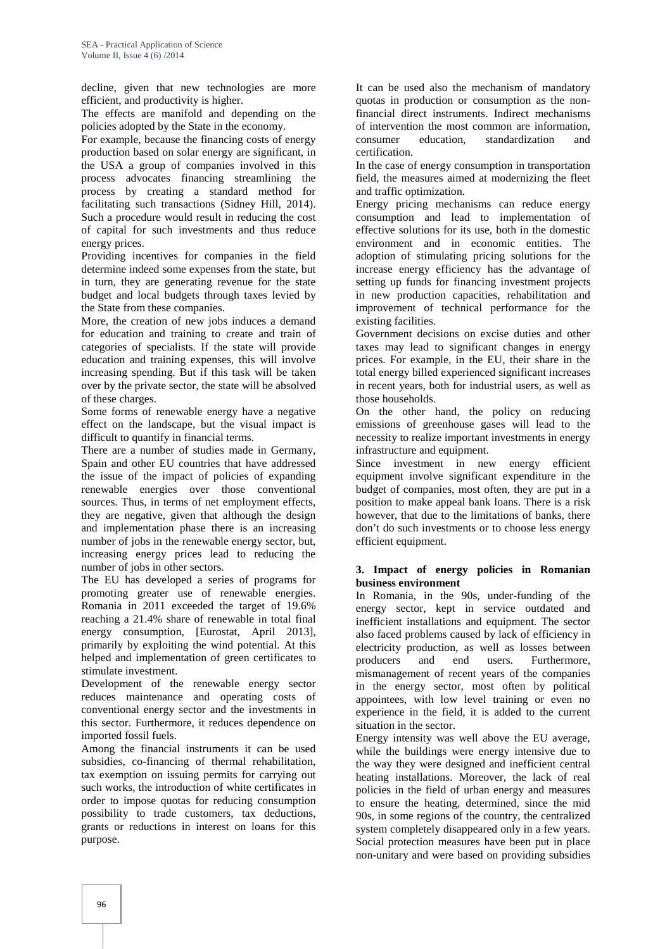decline, given that new technologies are more efficient, and productivity is higher.

The effects are manifold and depending on the policies adopted by the State in the economy.

For example, because the financing costs of energy consumer production based on solar energy are significant, in the USA a group of companies involved in this process advocates financing streamlining the process by creating a standard method for facilitating such transactions (Sidney Hill, 2014). Such a procedure would result in reducing the cost of capital for such investments and thus reduce energy prices.

Providing incentives for companies in the field determine indeed some expenses from the state, but in turn, they are generating revenue for the state budget and local budgets through taxes levied by the State from these companies.

More, the creation of new jobs induces a demand for education and training to create and train of categories of specialists. If the state will provide education and training expenses, this will involve increasing spending. But if this task will be taken over by the private sector, the state will be absolved of these charges.

Some forms of renewable energy have a negative effect on the landscape, but the visual impact is difficult to quantify in financial terms.

There are a number of studies made in Germany, Spain and other EU countries that have addressed the issue of the impact of policies of expanding renewable energies over those conventional sources. Thus, in terms of net employment effects, they are negative, given that although the design and implementation phase there is an increasing number of jobs in the renewable energy sector, but, increasing energy prices lead to reducing the number of jobs in other sectors.

The EU has developed a series of programs for promoting greater use of renewable energies. Romania in 2011 exceeded the target of 19.6% reaching a 21.4% share of renewable in total final energy consumption, [Eurostat, April 2013], primarily by exploiting the wind potential. At this helped and implementation of green certificates to producers stimulate investment.

Development of the renewable energy sector reduces maintenance and operating costs of conventional energy sector and the investments in this sector. Furthermore, it reduces dependence on imported fossil fuels.

Among the financial instruments it can be used subsidies, co-financing of thermal rehabilitation, tax exemption on issuing permits for carrying out such works, the introduction of white certificates in order to impose quotas for reducing consumption possibility to trade customers, tax deductions, grants or reductions in interest on loans for this purpose.

It can be used also the mechanism of mandatory quotas in production or consumption as the nonfinancial direct instruments. Indirect mechanisms of intervention the most common are information, education, standardization and certification.

In the case of energy consumption in transportation field, the measures aimed at modernizing the fleet and traffic optimization.

Energy pricing mechanisms can reduce energy consumption and lead to implementation of effective solutions for its use, both in the domestic environment and in economic entities. The adoption of stimulating pricing solutions for the increase energy efficiency has the advantage of setting up funds for financing investment projects in new production capacities, rehabilitation and improvement of technical performance for the existing facilities.

Government decisions on excise duties and other taxes may lead to significant changes in energy prices. For example, in the EU, their share in the total energy billed experienced significant increases in recent years, both for industrial users, as well as those households.

On the other hand, the policy on reducing emissions of greenhouse gases will lead to the necessity to realize important investments in energy infrastructure and equipment.

Since investment in new energy efficient equipment involve significant expenditure in the budget of companies, most often, they are put in a position to make appeal bank loans. There is a risk however, that due to the limitations of banks, there don't do such investments or to choose less energy efficient equipment.

#### **3. Impact of energy policies in Romanian business environment**

In Romania, in the 90s, under-funding of the energy sector, kept in service outdated and inefficient installations and equipment. The sector also faced problems caused by lack of efficiency in electricity production, as well as losses between and end users. Furthermore, mismanagement of recent years of the companies in the energy sector, most often by political appointees, with low level training or even no experience in the field, it is added to the current situation in the sector.

Energy intensity was well above the EU average, while the buildings were energy intensive due to the way they were designed and inefficient central heating installations. Moreover, the lack of real policies in the field of urban energy and measures to ensure the heating, determined, since the mid 90s, in some regions of the country, the centralized system completely disappeared only in a few years. Social protection measures have been put in place non-unitary and were based on providing subsidies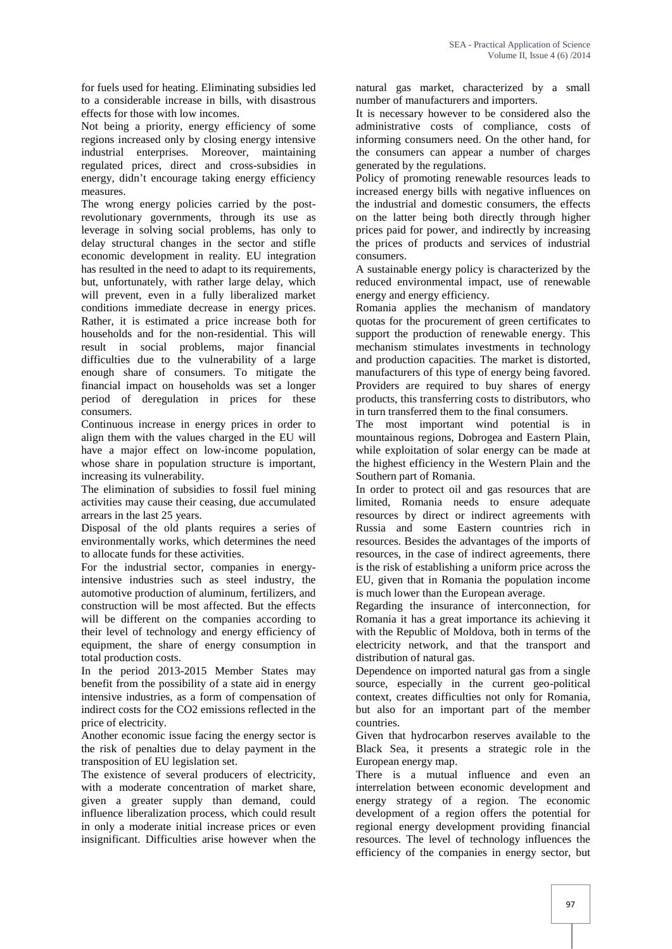for fuels used for heating. Eliminating subsidies led to a considerable increase in bills, with disastrous effects for those with low incomes.

Not being a priority, energy efficiency of some regions increased only by closing energy intensive industrial enterprises. Moreover, maintaining regulated prices, direct and cross-subsidies in energy, didn't encourage taking energy efficiency measures.

The wrong energy policies carried by the postrevolutionary governments, through its use as leverage in solving social problems, has only to delay structural changes in the sector and stifle economic development in reality. EU integration has resulted in the need to adapt to its requirements, but, unfortunately, with rather large delay, which will prevent, even in a fully liberalized market conditions immediate decrease in energy prices. Rather, it is estimated a price increase both for households and for the non-residential. This will result in social problems, major financial difficulties due to the vulnerability of a large enough share of consumers. To mitigate the financial impact on households was set a longer period of deregulation in prices for these consumers.

Continuous increase in energy prices in order to align them with the values charged in the EU will have a major effect on low-income population, whose share in population structure is important, increasing its vulnerability.

The elimination of subsidies to fossil fuel mining activities may cause their ceasing, due accumulated arrears in the last 25 years.

Disposal of the old plants requires a series of environmentally works, which determines the need to allocate funds for these activities.

For the industrial sector, companies in energyintensive industries such as steel industry, the automotive production of aluminum, fertilizers, and construction will be most affected. But the effects will be different on the companies according to their level of technology and energy efficiency of equipment, the share of energy consumption in total production costs.

In the period 2013-2015 Member States may benefit from the possibility of a state aid in energy intensive industries, as a form of compensation of indirect costs for the CO2 emissions reflected in the price of electricity.

Another economic issue facing the energy sector is the risk of penalties due to delay payment in the transposition of EU legislation set.

The existence of several producers of electricity, with a moderate concentration of market share, given a greater supply than demand, could influence liberalization process, which could result in only a moderate initial increase prices or even insignificant. Difficulties arise however when the

natural gas market, characterized by a small number of manufacturers and importers.

It is necessary however to be considered also the administrative costs of compliance, costs of informing consumers need. On the other hand, for the consumers can appear a number of charges generated by the regulations.

Policy of promoting renewable resources leads to increased energy bills with negative influences on the industrial and domestic consumers, the effects on the latter being both directly through higher prices paid for power, and indirectly by increasing the prices of products and services of industrial consumers.

A sustainable energy policy is characterized by the reduced environmental impact, use of renewable energy and energy efficiency.

Romania applies the mechanism of mandatory quotas for the procurement of green certificates to support the production of renewable energy. This mechanism stimulates investments in technology and production capacities. The market is distorted, manufacturers of this type of energy being favored. Providers are required to buy shares of energy products, this transferring costs to distributors, who in turn transferred them to the final consumers.

The most important wind potential is in mountainous regions, Dobrogea and Eastern Plain, while exploitation of solar energy can be made at the highest efficiency in the Western Plain and the Southern part of Romania.

In order to protect oil and gas resources that are limited, Romania needs to ensure adequate resources by direct or indirect agreements with Russia and some Eastern countries rich in resources. Besides the advantages of the imports of resources, in the case of indirect agreements, there is the risk of establishing a uniform price across the EU, given that in Romania the population income is much lower than the European average.

Regarding the insurance of interconnection, for Romania it has a great importance its achieving it with the Republic of Moldova, both in terms of the electricity network, and that the transport and distribution of natural gas.

Dependence on imported natural gas from a single source, especially in the current geo-political context, creates difficulties not only for Romania, but also for an important part of the member countries.

Given that hydrocarbon reserves available to the Black Sea, it presents a strategic role in the European energy map.

There is a mutual influence and even an interrelation between economic development and energy strategy of a region. The economic development of a region offers the potential for regional energy development providing financial resources. The level of technology influences the efficiency of the companies in energy sector, but